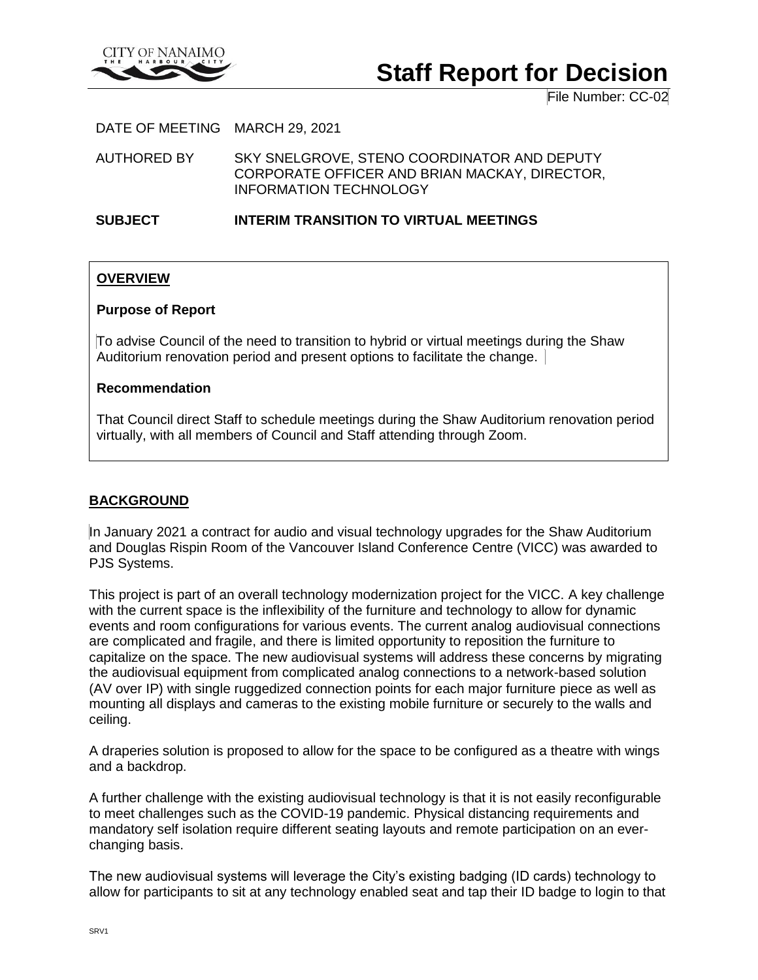

# **Staff Report for Decision**

File Number: CC-02

DATE OF MEETING MARCH 29, 2021

AUTHORED BY SKY SNELGROVE, STENO COORDINATOR AND DEPUTY CORPORATE OFFICER AND BRIAN MACKAY, DIRECTOR, INFORMATION TECHNOLOGY

**SUBJECT INTERIM TRANSITION TO VIRTUAL MEETINGS**

# **OVERVIEW**

#### **Purpose of Report**

To advise Council of the need to transition to hybrid or virtual meetings during the Shaw Auditorium renovation period and present options to facilitate the change.

#### **Recommendation**

That Council direct Staff to schedule meetings during the Shaw Auditorium renovation period virtually, with all members of Council and Staff attending through Zoom.

# **BACKGROUND**

In January 2021 a contract for audio and visual technology upgrades for the Shaw Auditorium and Douglas Rispin Room of the Vancouver Island Conference Centre (VICC) was awarded to PJS Systems.

This project is part of an overall technology modernization project for the VICC. A key challenge with the current space is the inflexibility of the furniture and technology to allow for dynamic events and room configurations for various events. The current analog audiovisual connections are complicated and fragile, and there is limited opportunity to reposition the furniture to capitalize on the space. The new audiovisual systems will address these concerns by migrating the audiovisual equipment from complicated analog connections to a network-based solution (AV over IP) with single ruggedized connection points for each major furniture piece as well as mounting all displays and cameras to the existing mobile furniture or securely to the walls and ceiling.

A draperies solution is proposed to allow for the space to be configured as a theatre with wings and a backdrop.

A further challenge with the existing audiovisual technology is that it is not easily reconfigurable to meet challenges such as the COVID-19 pandemic. Physical distancing requirements and mandatory self isolation require different seating layouts and remote participation on an everchanging basis.

The new audiovisual systems will leverage the City's existing badging (ID cards) technology to allow for participants to sit at any technology enabled seat and tap their ID badge to login to that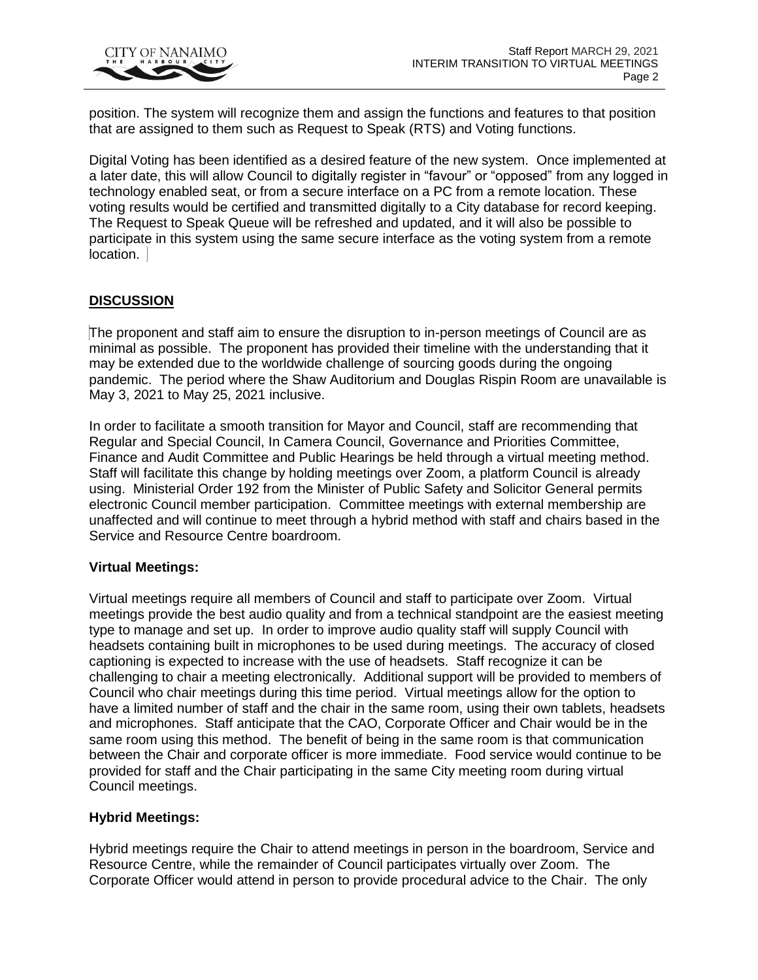

position. The system will recognize them and assign the functions and features to that position that are assigned to them such as Request to Speak (RTS) and Voting functions.

Digital Voting has been identified as a desired feature of the new system. Once implemented at a later date, this will allow Council to digitally register in "favour" or "opposed" from any logged in technology enabled seat, or from a secure interface on a PC from a remote location. These voting results would be certified and transmitted digitally to a City database for record keeping. The Request to Speak Queue will be refreshed and updated, and it will also be possible to participate in this system using the same secure interface as the voting system from a remote location.

# **DISCUSSION**

The proponent and staff aim to ensure the disruption to in-person meetings of Council are as minimal as possible. The proponent has provided their timeline with the understanding that it may be extended due to the worldwide challenge of sourcing goods during the ongoing pandemic. The period where the Shaw Auditorium and Douglas Rispin Room are unavailable is May 3, 2021 to May 25, 2021 inclusive.

In order to facilitate a smooth transition for Mayor and Council, staff are recommending that Regular and Special Council, In Camera Council, Governance and Priorities Committee, Finance and Audit Committee and Public Hearings be held through a virtual meeting method. Staff will facilitate this change by holding meetings over Zoom, a platform Council is already using. Ministerial Order 192 from the Minister of Public Safety and Solicitor General permits electronic Council member participation. Committee meetings with external membership are unaffected and will continue to meet through a hybrid method with staff and chairs based in the Service and Resource Centre boardroom.

#### **Virtual Meetings:**

Virtual meetings require all members of Council and staff to participate over Zoom. Virtual meetings provide the best audio quality and from a technical standpoint are the easiest meeting type to manage and set up. In order to improve audio quality staff will supply Council with headsets containing built in microphones to be used during meetings. The accuracy of closed captioning is expected to increase with the use of headsets. Staff recognize it can be challenging to chair a meeting electronically. Additional support will be provided to members of Council who chair meetings during this time period. Virtual meetings allow for the option to have a limited number of staff and the chair in the same room, using their own tablets, headsets and microphones. Staff anticipate that the CAO, Corporate Officer and Chair would be in the same room using this method. The benefit of being in the same room is that communication between the Chair and corporate officer is more immediate. Food service would continue to be provided for staff and the Chair participating in the same City meeting room during virtual Council meetings.

#### **Hybrid Meetings:**

Hybrid meetings require the Chair to attend meetings in person in the boardroom, Service and Resource Centre, while the remainder of Council participates virtually over Zoom. The Corporate Officer would attend in person to provide procedural advice to the Chair. The only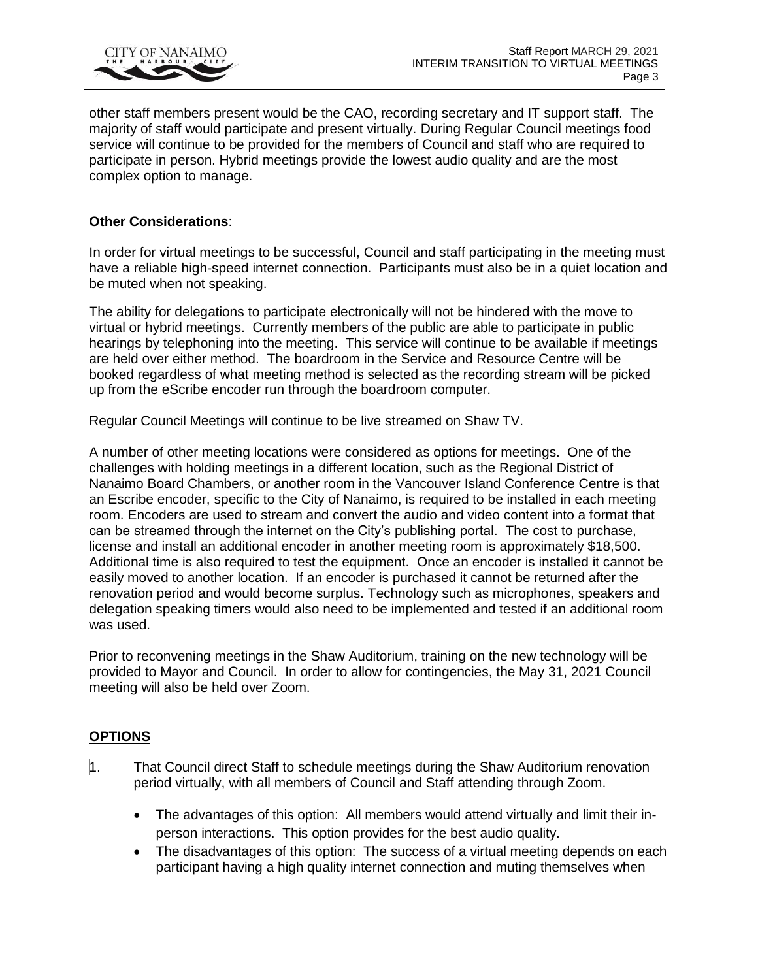

other staff members present would be the CAO, recording secretary and IT support staff. The majority of staff would participate and present virtually. During Regular Council meetings food service will continue to be provided for the members of Council and staff who are required to participate in person. Hybrid meetings provide the lowest audio quality and are the most complex option to manage.

### **Other Considerations**:

In order for virtual meetings to be successful, Council and staff participating in the meeting must have a reliable high-speed internet connection. Participants must also be in a quiet location and be muted when not speaking.

The ability for delegations to participate electronically will not be hindered with the move to virtual or hybrid meetings. Currently members of the public are able to participate in public hearings by telephoning into the meeting. This service will continue to be available if meetings are held over either method. The boardroom in the Service and Resource Centre will be booked regardless of what meeting method is selected as the recording stream will be picked up from the eScribe encoder run through the boardroom computer.

Regular Council Meetings will continue to be live streamed on Shaw TV.

A number of other meeting locations were considered as options for meetings. One of the challenges with holding meetings in a different location, such as the Regional District of Nanaimo Board Chambers, or another room in the Vancouver Island Conference Centre is that an Escribe encoder, specific to the City of Nanaimo, is required to be installed in each meeting room. Encoders are used to stream and convert the audio and video content into a format that can be streamed through the internet on the City's publishing portal. The cost to purchase, license and install an additional encoder in another meeting room is approximately \$18,500. Additional time is also required to test the equipment. Once an encoder is installed it cannot be easily moved to another location. If an encoder is purchased it cannot be returned after the renovation period and would become surplus. Technology such as microphones, speakers and delegation speaking timers would also need to be implemented and tested if an additional room was used.

Prior to reconvening meetings in the Shaw Auditorium, training on the new technology will be provided to Mayor and Council. In order to allow for contingencies, the May 31, 2021 Council meeting will also be held over Zoom.

# **OPTIONS**

- 1. That Council direct Staff to schedule meetings during the Shaw Auditorium renovation period virtually, with all members of Council and Staff attending through Zoom.
	- The advantages of this option: All members would attend virtually and limit their inperson interactions. This option provides for the best audio quality.
	- The disadvantages of this option: The success of a virtual meeting depends on each participant having a high quality internet connection and muting themselves when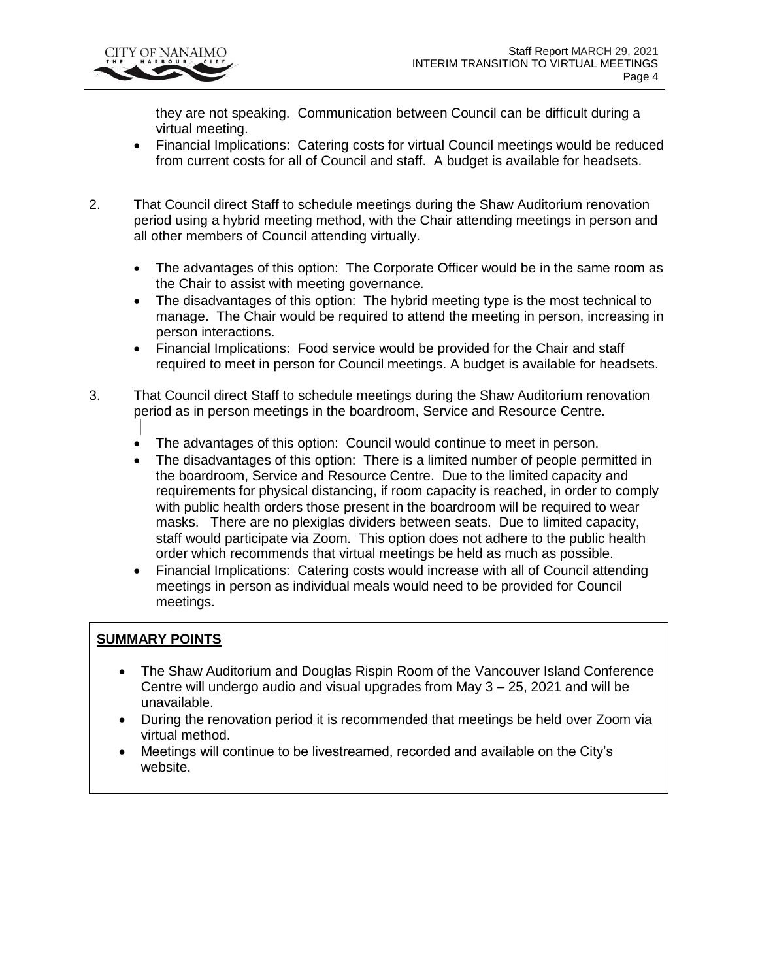

they are not speaking. Communication between Council can be difficult during a virtual meeting.

- Financial Implications: Catering costs for virtual Council meetings would be reduced from current costs for all of Council and staff. A budget is available for headsets.
- 2. That Council direct Staff to schedule meetings during the Shaw Auditorium renovation period using a hybrid meeting method, with the Chair attending meetings in person and all other members of Council attending virtually.
	- The advantages of this option: The Corporate Officer would be in the same room as the Chair to assist with meeting governance.
	- The disadvantages of this option: The hybrid meeting type is the most technical to manage. The Chair would be required to attend the meeting in person, increasing in person interactions.
	- Financial Implications: Food service would be provided for the Chair and staff required to meet in person for Council meetings. A budget is available for headsets.
- 3. That Council direct Staff to schedule meetings during the Shaw Auditorium renovation period as in person meetings in the boardroom, Service and Resource Centre.
	- The advantages of this option: Council would continue to meet in person.
	- The disadvantages of this option: There is a limited number of people permitted in the boardroom, Service and Resource Centre. Due to the limited capacity and requirements for physical distancing, if room capacity is reached, in order to comply with public health orders those present in the boardroom will be required to wear masks. There are no plexiglas dividers between seats. Due to limited capacity, staff would participate via Zoom. This option does not adhere to the public health order which recommends that virtual meetings be held as much as possible.
	- Financial Implications: Catering costs would increase with all of Council attending meetings in person as individual meals would need to be provided for Council meetings.

# **SUMMARY POINTS**

- The Shaw Auditorium and Douglas Rispin Room of the Vancouver Island Conference Centre will undergo audio and visual upgrades from May 3 – 25, 2021 and will be unavailable.
- During the renovation period it is recommended that meetings be held over Zoom via virtual method.
- Meetings will continue to be livestreamed, recorded and available on the City's website.